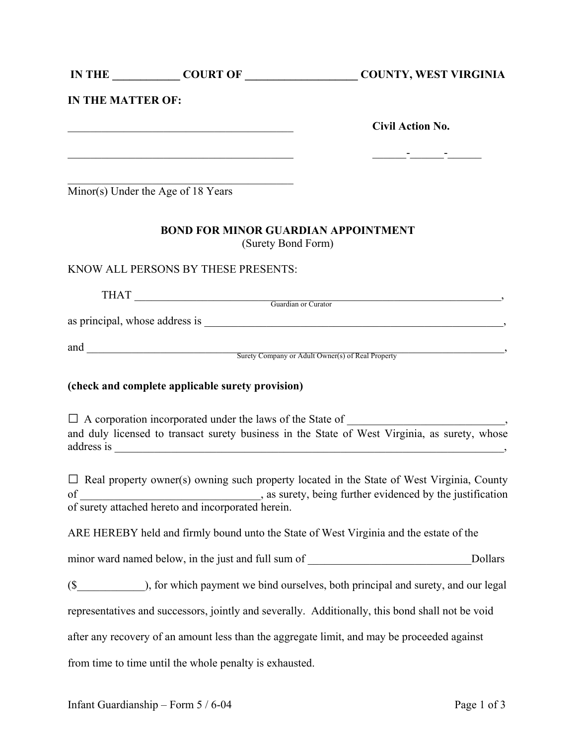|                          |                                                                                                                       | IN THE COURT OF COURT OF COUNTY, WEST VIRGINIA                                                                                                                                                                                                                      |
|--------------------------|-----------------------------------------------------------------------------------------------------------------------|---------------------------------------------------------------------------------------------------------------------------------------------------------------------------------------------------------------------------------------------------------------------|
| <b>IN THE MATTER OF:</b> |                                                                                                                       |                                                                                                                                                                                                                                                                     |
|                          | <u> 1989 - Johann Barbara, margaret eta idazlearia (h. 1989).</u>                                                     | <b>Civil Action No.</b>                                                                                                                                                                                                                                             |
|                          | <u> 1989 - Johann John Stein, mars an deutscher Stein und der Stein und der Stein und der Stein und der Stein und</u> | <u> 2002 - John Stone Barbara (</u>                                                                                                                                                                                                                                 |
|                          |                                                                                                                       |                                                                                                                                                                                                                                                                     |
|                          | Minor(s) Under the Age of 18 Years                                                                                    |                                                                                                                                                                                                                                                                     |
|                          | <b>BOND FOR MINOR GUARDIAN APPOINTMENT</b><br>(Surety Bond Form)                                                      |                                                                                                                                                                                                                                                                     |
|                          | KNOW ALL PERSONS BY THESE PRESENTS:                                                                                   |                                                                                                                                                                                                                                                                     |
|                          |                                                                                                                       | THAT Guardian or Curator                                                                                                                                                                                                                                            |
|                          |                                                                                                                       |                                                                                                                                                                                                                                                                     |
|                          |                                                                                                                       | and Surety Company or Adult Owner(s) of Real Property                                                                                                                                                                                                               |
|                          | (check and complete applicable surety provision)                                                                      |                                                                                                                                                                                                                                                                     |
|                          |                                                                                                                       | $\Box$ A corporation incorporated under the laws of the State of $\Box$                                                                                                                                                                                             |
|                          |                                                                                                                       | and duly licensed to transact surety business in the State of West Virginia, as surety, whose                                                                                                                                                                       |
|                          |                                                                                                                       | $\Box$ Real property owner(s) owning such property located in the State of West Virginia, County<br>of surety attached hereto and incorporated herein.<br>s surety, being further evidenced by the justification of surety attached hereto and incorporated herein. |
|                          |                                                                                                                       | ARE HEREBY held and firmly bound unto the State of West Virginia and the estate of the                                                                                                                                                                              |
|                          |                                                                                                                       | Dollars                                                                                                                                                                                                                                                             |
|                          |                                                                                                                       |                                                                                                                                                                                                                                                                     |
|                          |                                                                                                                       | representatives and successors, jointly and severally. Additionally, this bond shall not be void                                                                                                                                                                    |
|                          |                                                                                                                       | after any recovery of an amount less than the aggregate limit, and may be proceeded against                                                                                                                                                                         |
|                          | from time to time until the whole penalty is exhausted.                                                               |                                                                                                                                                                                                                                                                     |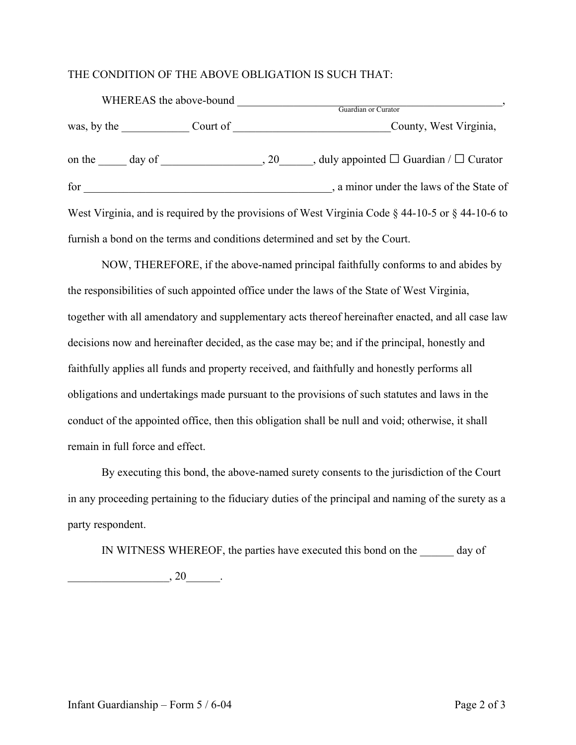## THE CONDITION OF THE ABOVE OBLIGATION IS SUCH THAT:

|     | WHEREAS the above-bound | Guardian or Curator                                                                                                      |
|-----|-------------------------|--------------------------------------------------------------------------------------------------------------------------|
|     |                         | County, West Virginia,                                                                                                   |
|     |                         | on the $\_\_\_\_$ day of $\_\_\_\_\_\_$ , 20, $\_\_\_\_\_$ duly appointed $\_\_\_\_\_$ Guardian / $\_\_\_\_\_\_$ Curator |
| for |                         | a minor under the laws of the State of                                                                                   |
|     |                         | West Virginia, and is required by the provisions of West Virginia Code $\S$ 44-10-5 or $\S$ 44-10-6 to                   |
|     |                         | furnish a bond on the terms and conditions determined and set by the Court.                                              |

 NOW, THEREFORE, if the above-named principal faithfully conforms to and abides by the responsibilities of such appointed office under the laws of the State of West Virginia, together with all amendatory and supplementary acts thereof hereinafter enacted, and all case law decisions now and hereinafter decided, as the case may be; and if the principal, honestly and faithfully applies all funds and property received, and faithfully and honestly performs all obligations and undertakings made pursuant to the provisions of such statutes and laws in the conduct of the appointed office, then this obligation shall be null and void; otherwise, it shall remain in full force and effect.

 By executing this bond, the above-named surety consents to the jurisdiction of the Court in any proceeding pertaining to the fiduciary duties of the principal and naming of the surety as a party respondent.

IN WITNESS WHEREOF, the parties have executed this bond on the day of

 $\overline{\phantom{a}}$ , 20 $\overline{\phantom{a}}$ .